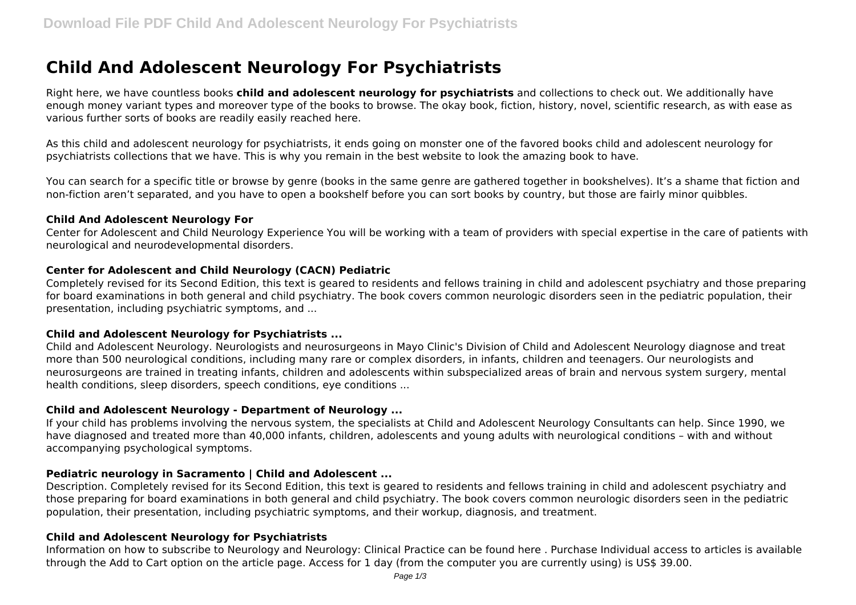# **Child And Adolescent Neurology For Psychiatrists**

Right here, we have countless books **child and adolescent neurology for psychiatrists** and collections to check out. We additionally have enough money variant types and moreover type of the books to browse. The okay book, fiction, history, novel, scientific research, as with ease as various further sorts of books are readily easily reached here.

As this child and adolescent neurology for psychiatrists, it ends going on monster one of the favored books child and adolescent neurology for psychiatrists collections that we have. This is why you remain in the best website to look the amazing book to have.

You can search for a specific title or browse by genre (books in the same genre are gathered together in bookshelves). It's a shame that fiction and non-fiction aren't separated, and you have to open a bookshelf before you can sort books by country, but those are fairly minor quibbles.

#### **Child And Adolescent Neurology For**

Center for Adolescent and Child Neurology Experience You will be working with a team of providers with special expertise in the care of patients with neurological and neurodevelopmental disorders.

# **Center for Adolescent and Child Neurology (CACN) Pediatric**

Completely revised for its Second Edition, this text is geared to residents and fellows training in child and adolescent psychiatry and those preparing for board examinations in both general and child psychiatry. The book covers common neurologic disorders seen in the pediatric population, their presentation, including psychiatric symptoms, and ...

# **Child and Adolescent Neurology for Psychiatrists ...**

Child and Adolescent Neurology. Neurologists and neurosurgeons in Mayo Clinic's Division of Child and Adolescent Neurology diagnose and treat more than 500 neurological conditions, including many rare or complex disorders, in infants, children and teenagers. Our neurologists and neurosurgeons are trained in treating infants, children and adolescents within subspecialized areas of brain and nervous system surgery, mental health conditions, sleep disorders, speech conditions, eye conditions ...

# **Child and Adolescent Neurology - Department of Neurology ...**

If your child has problems involving the nervous system, the specialists at Child and Adolescent Neurology Consultants can help. Since 1990, we have diagnosed and treated more than 40,000 infants, children, adolescents and young adults with neurological conditions – with and without accompanying psychological symptoms.

# **Pediatric neurology in Sacramento | Child and Adolescent ...**

Description. Completely revised for its Second Edition, this text is geared to residents and fellows training in child and adolescent psychiatry and those preparing for board examinations in both general and child psychiatry. The book covers common neurologic disorders seen in the pediatric population, their presentation, including psychiatric symptoms, and their workup, diagnosis, and treatment.

# **Child and Adolescent Neurology for Psychiatrists**

Information on how to subscribe to Neurology and Neurology: Clinical Practice can be found here . Purchase Individual access to articles is available through the Add to Cart option on the article page. Access for 1 day (from the computer you are currently using) is US\$ 39.00.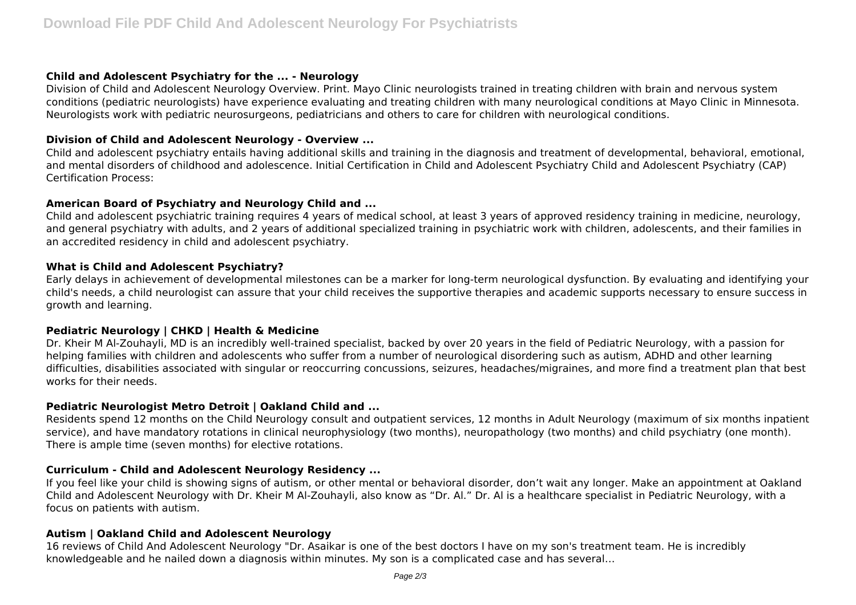# **Child and Adolescent Psychiatry for the ... - Neurology**

Division of Child and Adolescent Neurology Overview. Print. Mayo Clinic neurologists trained in treating children with brain and nervous system conditions (pediatric neurologists) have experience evaluating and treating children with many neurological conditions at Mayo Clinic in Minnesota. Neurologists work with pediatric neurosurgeons, pediatricians and others to care for children with neurological conditions.

# **Division of Child and Adolescent Neurology - Overview ...**

Child and adolescent psychiatry entails having additional skills and training in the diagnosis and treatment of developmental, behavioral, emotional, and mental disorders of childhood and adolescence. Initial Certification in Child and Adolescent Psychiatry Child and Adolescent Psychiatry (CAP) Certification Process:

# **American Board of Psychiatry and Neurology Child and ...**

Child and adolescent psychiatric training requires 4 years of medical school, at least 3 years of approved residency training in medicine, neurology, and general psychiatry with adults, and 2 years of additional specialized training in psychiatric work with children, adolescents, and their families in an accredited residency in child and adolescent psychiatry.

# **What is Child and Adolescent Psychiatry?**

Early delays in achievement of developmental milestones can be a marker for long-term neurological dysfunction. By evaluating and identifying your child's needs, a child neurologist can assure that your child receives the supportive therapies and academic supports necessary to ensure success in growth and learning.

# **Pediatric Neurology | CHKD | Health & Medicine**

Dr. Kheir M Al-Zouhayli, MD is an incredibly well-trained specialist, backed by over 20 years in the field of Pediatric Neurology, with a passion for helping families with children and adolescents who suffer from a number of neurological disordering such as autism, ADHD and other learning difficulties, disabilities associated with singular or reoccurring concussions, seizures, headaches/migraines, and more find a treatment plan that best works for their needs.

# **Pediatric Neurologist Metro Detroit | Oakland Child and ...**

Residents spend 12 months on the Child Neurology consult and outpatient services, 12 months in Adult Neurology (maximum of six months inpatient service), and have mandatory rotations in clinical neurophysiology (two months), neuropathology (two months) and child psychiatry (one month). There is ample time (seven months) for elective rotations.

# **Curriculum - Child and Adolescent Neurology Residency ...**

If you feel like your child is showing signs of autism, or other mental or behavioral disorder, don't wait any longer. Make an appointment at Oakland Child and Adolescent Neurology with Dr. Kheir M Al-Zouhayli, also know as "Dr. Al." Dr. Al is a healthcare specialist in Pediatric Neurology, with a focus on patients with autism.

# **Autism | Oakland Child and Adolescent Neurology**

16 reviews of Child And Adolescent Neurology "Dr. Asaikar is one of the best doctors I have on my son's treatment team. He is incredibly knowledgeable and he nailed down a diagnosis within minutes. My son is a complicated case and has several…